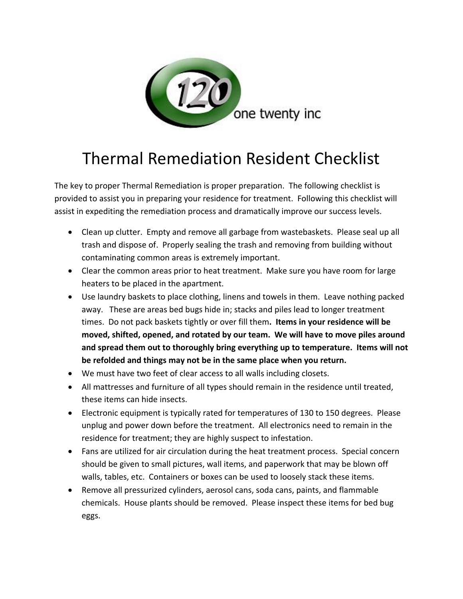

## Thermal Remediation Resident Checklist

The key to proper Thermal Remediation is proper preparation. The following checklist is provided to assist you in preparing your residence for treatment. Following this checklist will assist in expediting the remediation process and dramatically improve our success levels.

- Clean up clutter. Empty and remove all garbage from wastebaskets. Please seal up all trash and dispose of. Properly sealing the trash and removing from building without contaminating common areas is extremely important.
- Clear the common areas prior to heat treatment. Make sure you have room for large heaters to be placed in the apartment.
- Use laundry baskets to place clothing, linens and towels in them. Leave nothing packed away. These are areas bed bugs hide in; stacks and piles lead to longer treatment times. Do not pack baskets tightly or over fill them**. Items in your residence will be moved, shifted, opened, and rotated by our team. We will have to move piles around and spread them out to thoroughly bring everything up to temperature. Items will not be refolded and things may not be in the same place when you return.**
- We must have two feet of clear access to all walls including closets.
- All mattresses and furniture of all types should remain in the residence until treated, these items can hide insects.
- Electronic equipment is typically rated for temperatures of 130 to 150 degrees. Please unplug and power down before the treatment. All electronics need to remain in the residence for treatment; they are highly suspect to infestation.
- Fans are utilized for air circulation during the heat treatment process. Special concern should be given to small pictures, wall items, and paperwork that may be blown off walls, tables, etc. Containers or boxes can be used to loosely stack these items.
- Remove all pressurized cylinders, aerosol cans, soda cans, paints, and flammable chemicals. House plants should be removed. Please inspect these items for bed bug eggs.